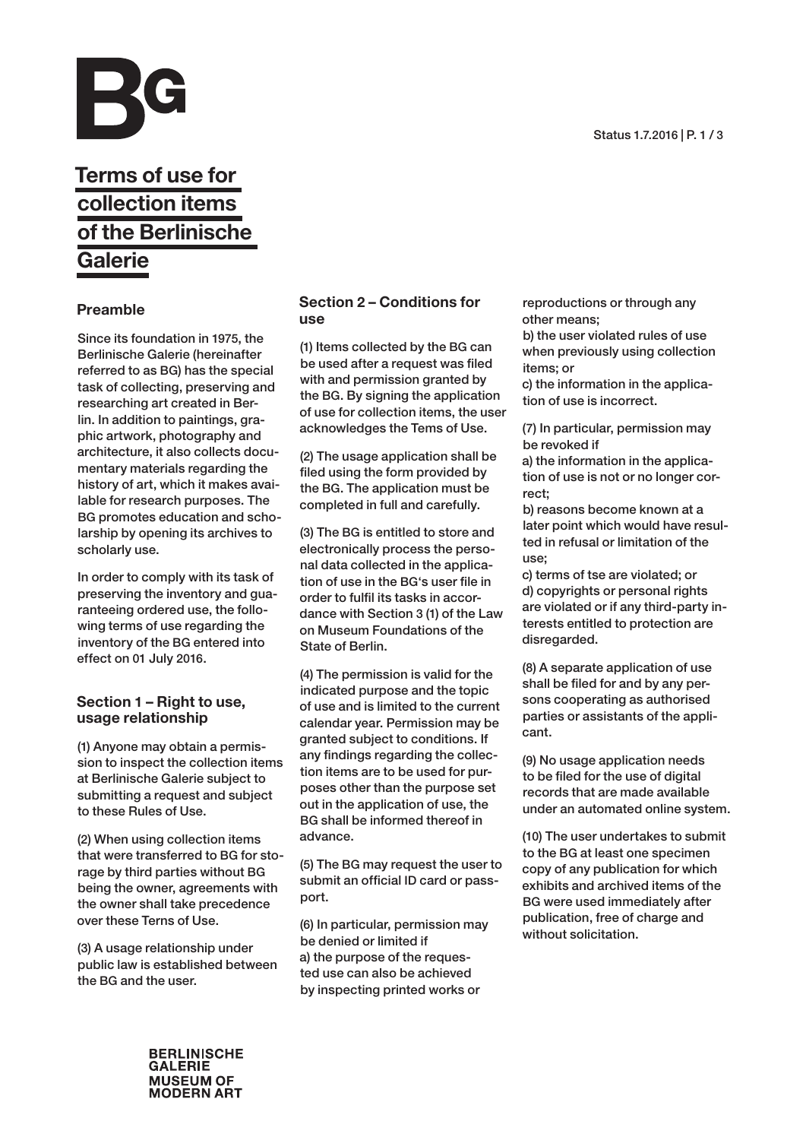

# Terms of use for collection items of the Berlinische Galerie

# Preamble

Since its foundation in 1975, the Berlinische Galerie (hereinafter referred to as BG) has the special task of collecting, preserving and researching art created in Berlin. In addition to paintings, graphic artwork, photography and architecture, it also collects documentary materials regarding the history of art, which it makes available for research purposes. The BG promotes education and scholarship by opening its archives to scholarly use.

In order to comply with its task of preserving the inventory and guaranteeing ordered use, the following terms of use regarding the inventory of the BG entered into effect on 01 July 2016.

## Section 1 – Right to use, usage relationship

(1) Anyone may obtain a permission to inspect the collection items at Berlinische Galerie subject to submitting a request and subject to these Rules of Use.

(2) When using collection items that were transferred to BG for storage by third parties without BG being the owner, agreements with the owner shall take precedence over these Terns of Use.

(3) A usage relationship under public law is established between the BG and the user.

# Section 2 – Conditions for use

(1) Items collected by the BG can be used after a request was filed with and permission granted by the BG. By signing the application of use for collection items, the user acknowledges the Tems of Use.

(2) The usage application shall be filed using the form provided by the BG. The application must be completed in full and carefully.

(3) The BG is entitled to store and electronically process the personal data collected in the application of use in the BG's user file in order to fulfil its tasks in accordance with Section 3 (1) of the Law on Museum Foundations of the State of Berlin.

(4) The permission is valid for the indicated purpose and the topic of use and is limited to the current calendar year. Permission may be granted subject to conditions. If any findings regarding the collection items are to be used for purposes other than the purpose set out in the application of use, the BG shall be informed thereof in advance.

(5) The BG may request the user to submit an official ID card or passport.

(6) In particular, permission may be denied or limited if a) the purpose of the requested use can also be achieved by inspecting printed works or

reproductions or through any other means; b) the user violated rules of use

when previously using collection items; or

c) the information in the application of use is incorrect.

(7) In particular, permission may be revoked if

a) the information in the application of use is not or no longer correct;

b) reasons become known at a later point which would have resulted in refusal or limitation of the use;

c) terms of tse are violated; or d) copyrights or personal rights are violated or if any third-party interests entitled to protection are disregarded.

(8) A separate application of use shall be filed for and by any persons cooperating as authorised parties or assistants of the applicant.

(9) No usage application needs to be filed for the use of digital records that are made available under an automated online system.

(10) The user undertakes to submit to the BG at least one specimen copy of any publication for which exhibits and archived items of the BG were used immediately after publication, free of charge and without solicitation.

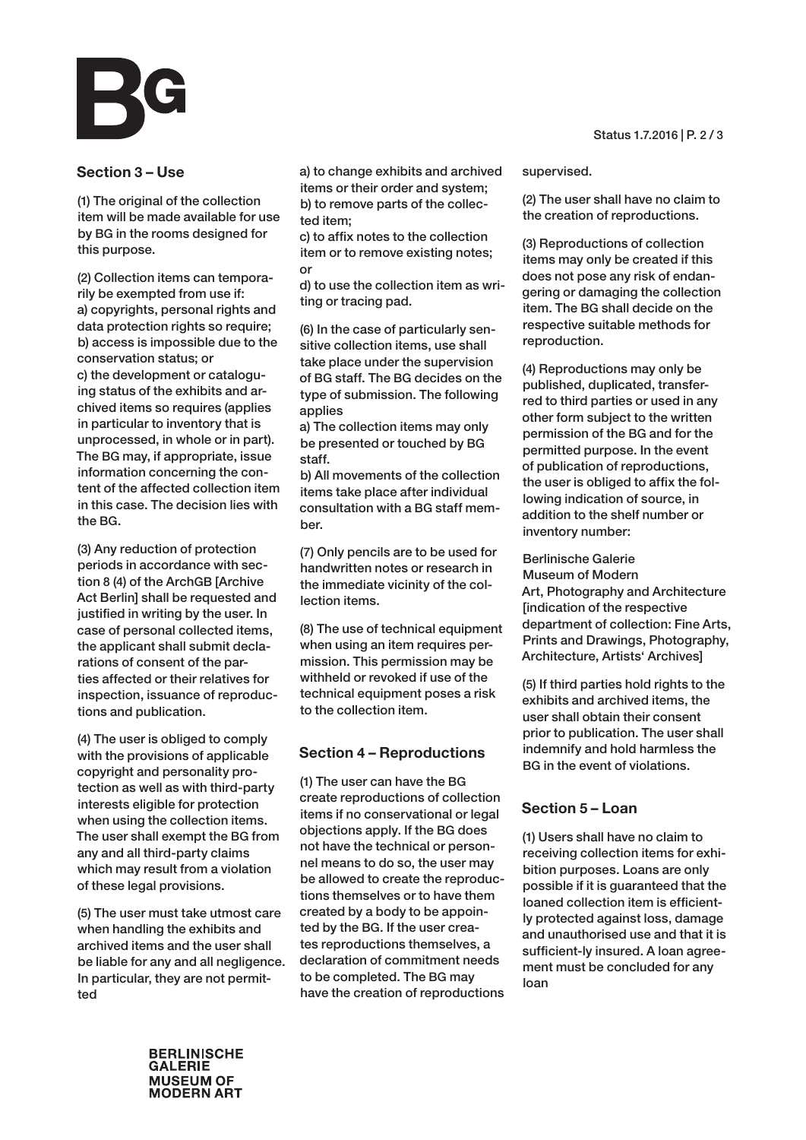### Section 3 – Use

(1) The original of the collection item will be made available for use by BG in the rooms designed for this purpose.

(2) Collection items can temporarily be exempted from use if: a) copyrights, personal rights and data protection rights so require; b) access is impossible due to the conservation status; or c) the development or cataloguing status of the exhibits and archived items so requires (applies in particular to inventory that is unprocessed, in whole or in part). The BG may, if appropriate, issue information concerning the content of the affected collection item in this case. The decision lies with the BG.

(3) Any reduction of protection periods in accordance with section 8 (4) of the ArchGB [Archive Act Berlin] shall be requested and justified in writing by the user. In case of personal collected items, the applicant shall submit declarations of consent of the parties affected or their relatives for inspection, issuance of reproductions and publication.

(4) The user is obliged to comply with the provisions of applicable copyright and personality protection as well as with third-party interests eligible for protection when using the collection items. The user shall exempt the BG from any and all third-party claims which may result from a violation of these legal provisions.

(5) The user must take utmost care when handling the exhibits and archived items and the user shall be liable for any and all negligence. In particular, they are not permitted

a) to change exhibits and archived items or their order and system; b) to remove parts of the collected item;

c) to affix notes to the collection item or to remove existing notes; or

d) to use the collection item as writing or tracing pad.

(6) In the case of particularly sensitive collection items, use shall take place under the supervision of BG staff. The BG decides on the type of submission. The following applies

a) The collection items may only be presented or touched by BG staff.

b) All movements of the collection items take place after individual consultation with a BG staff member.

(7) Only pencils are to be used for handwritten notes or research in the immediate vicinity of the collection items.

(8) The use of technical equipment when using an item requires permission. This permission may be withheld or revoked if use of the technical equipment poses a risk to the collection item.

#### Section 4 – Reproductions

(1) The user can have the BG create reproductions of collection items if no conservational or legal objections apply. If the BG does not have the technical or personnel means to do so, the user may be allowed to create the reproductions themselves or to have them created by a body to be appointed by the BG. If the user creates reproductions themselves, a declaration of commitment needs to be completed. The BG may have the creation of reproductions Status 1.7.2016 | P. 2 / 3

supervised.

(2) The user shall have no claim to the creation of reproductions.

(3) Reproductions of collection items may only be created if this does not pose any risk of endangering or damaging the collection item. The BG shall decide on the respective suitable methods for reproduction.

(4) Reproductions may only be published, duplicated, transferred to third parties or used in any other form subject to the written permission of the BG and for the permitted purpose. In the event of publication of reproductions, the user is obliged to affix the following indication of source, in addition to the shelf number or inventory number:

Berlinische Galerie Museum of Modern Art, Photography and Architecture [indication of the respective department of collection: Fine Arts, Prints and Drawings, Photography, Architecture, Artists' Archives]

(5) If third parties hold rights to the exhibits and archived items, the user shall obtain their consent prior to publication. The user shall indemnify and hold harmless the BG in the event of violations.

### Section 5 – Loan

(1) Users shall have no claim to receiving collection items for exhibition purposes. Loans are only possible if it is guaranteed that the loaned collection item is efficiently protected against loss, damage and unauthorised use and that it is sufficient-ly insured. A loan agreement must be concluded for any loan